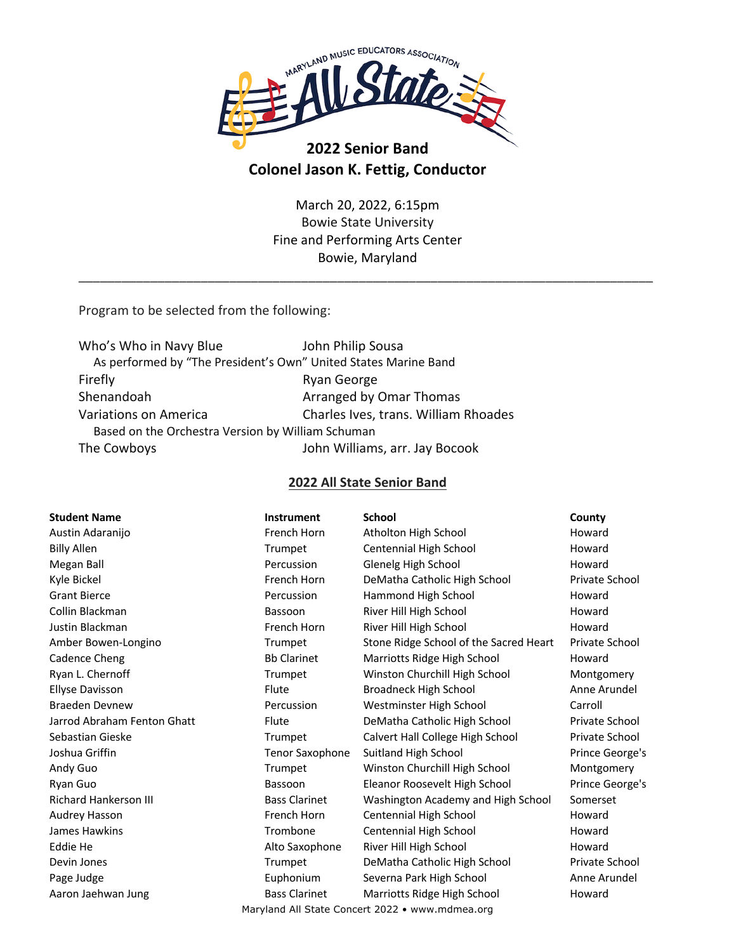

# **2022 Senior Band Colonel Jason K. Fettig, Conductor**

March 20, 2022, 6:15pm Bowie State University Fine and Performing Arts Center Bowie, Maryland

\_\_\_\_\_\_\_\_\_\_\_\_\_\_\_\_\_\_\_\_\_\_\_\_\_\_\_\_\_\_\_\_\_\_\_\_\_\_\_\_\_\_\_\_\_\_\_\_\_\_\_\_\_\_\_\_\_\_\_\_\_\_\_\_\_\_\_\_\_\_\_\_\_\_\_\_\_\_\_\_

Program to be selected from the following:

| Who's Who in Navy Blue                                          | John Philip Sousa                    |  |  |  |
|-----------------------------------------------------------------|--------------------------------------|--|--|--|
| As performed by "The President's Own" United States Marine Band |                                      |  |  |  |
| Firefly                                                         | Ryan George                          |  |  |  |
| Shenandoah                                                      | Arranged by Omar Thomas              |  |  |  |
| Variations on America                                           | Charles Ives, trans. William Rhoades |  |  |  |
| Based on the Orchestra Version by William Schuman               |                                      |  |  |  |
| The Cowboys                                                     | John Williams, arr. Jay Bocook       |  |  |  |
|                                                                 |                                      |  |  |  |

### **2022 All State Senior Band**

| <b>Student Name</b>          | <b>Instrument</b>      | <b>School</b>                                   | County          |
|------------------------------|------------------------|-------------------------------------------------|-----------------|
| Austin Adaranijo             | French Horn            | Atholton High School                            | Howard          |
| <b>Billy Allen</b>           | Trumpet                | Centennial High School                          | Howard          |
| Megan Ball                   | Percussion             | Glenelg High School                             | Howard          |
| Kyle Bickel                  | French Horn            | DeMatha Catholic High School                    | Private School  |
| <b>Grant Bierce</b>          | Percussion             | Hammond High School                             | Howard          |
| Collin Blackman              | Bassoon                | River Hill High School                          | Howard          |
| Justin Blackman              | French Horn            | River Hill High School                          | Howard          |
| Amber Bowen-Longino          | Trumpet                | Stone Ridge School of the Sacred Heart          | Private School  |
| Cadence Cheng                | <b>Bb Clarinet</b>     | Marriotts Ridge High School                     | Howard          |
| Ryan L. Chernoff             | Trumpet                | Winston Churchill High School                   | Montgomery      |
| <b>Ellyse Davisson</b>       | Flute                  | <b>Broadneck High School</b>                    | Anne Arundel    |
| <b>Braeden Devnew</b>        | Percussion             | Westminster High School                         | Carroll         |
| Jarrod Abraham Fenton Ghatt  | Flute                  | DeMatha Catholic High School                    | Private School  |
| Sebastian Gieske             | Trumpet                | Calvert Hall College High School                | Private School  |
| Joshua Griffin               | <b>Tenor Saxophone</b> | Suitland High School                            | Prince George's |
| Andy Guo                     | Trumpet                | Winston Churchill High School                   | Montgomery      |
| Ryan Guo                     | Bassoon                | Eleanor Roosevelt High School                   | Prince George's |
| <b>Richard Hankerson III</b> | <b>Bass Clarinet</b>   | Washington Academy and High School              | Somerset        |
| Audrey Hasson                | French Horn            | Centennial High School                          | Howard          |
| James Hawkins                | Trombone               | Centennial High School                          | Howard          |
| Eddie He                     | Alto Saxophone         | River Hill High School                          | Howard          |
| Devin Jones                  | Trumpet                | DeMatha Catholic High School                    | Private School  |
| Page Judge                   | Euphonium              | Severna Park High School                        | Anne Arundel    |
| Aaron Jaehwan Jung           | <b>Bass Clarinet</b>   | Marriotts Ridge High School                     | Howard          |
|                              |                        | Maryland All State Concert 2022 • www.mdmea.org |                 |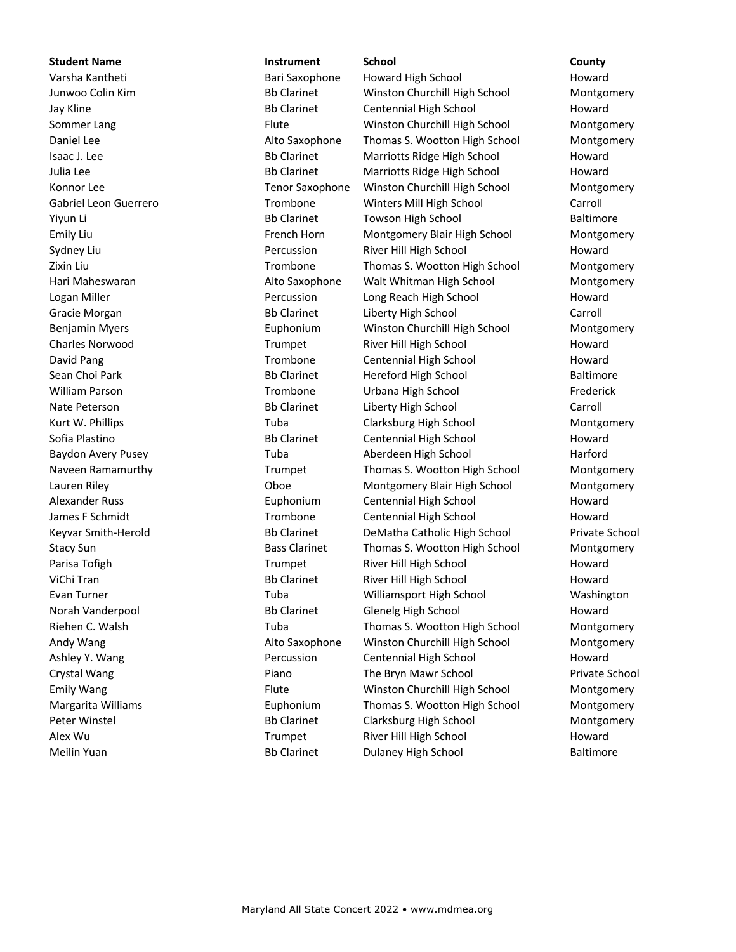### **Student Name Instrument School County**

Varsha Kantheti **Bari Saxophone** Howard High School Howard Howard High School Howard Junwoo Colin Kim **Bb Clarinet** Winston Churchill High School Montgomery Jay Kline **CENT CENTER BB Clarinet** Centennial High School Howard Sommer Lang **Flute** Flute **Figure 2016** Winston Churchill High School Montgomery Daniel Lee **Alto Saxophone** Thomas S. Wootton High School Montgomery Isaac J. Lee **Bb Clarinet** Marriotts Ridge High School Howard Julia Lee **Bb Clarinet** Marriotts Ridge High School Howard Konnor Lee Tenor Saxophone Winston Churchill High School Montgomery Gabriel Leon Guerrero Trombone Winters Mill High School Carroll Yiyun Li Bb Clarinet Towson High School Baltimore Emily Liu French Horn Montgomery Blair High School Montgomery Sydney Liu **Sydney Liu Communist Communist Communist Percussion** River Hill High School Howard Zixin Liu Trombone Thomas S. Wootton High School Montgomery Hari Maheswaran **Alto Saxophone** Walt Whitman High School Montgomery Montgomery Logan Miller **No. 2018** Percussion Long Reach High School Howard Gracie Morgan **Bb Clarinet** Liberty High School Carroll Carroll Benjamin Myers **Euphonium** Winston Churchill High School Montgomery Charles Norwood **Example 1 Charles Norwood** Trumpet **River Hill High School** Howard David Pang Trombone Centennial High School Howard Sean Choi Park **Bb Clarinet** Hereford High School Baltimore William Parson **Trombone** Urbana High School Frederick Nate Peterson **Bb Clarinet** Liberty High School Carroll Carroll Kurt W. Phillips **Tuba** Tuba Clarksburg High School Montgomery Sofia Plastino **Bb Clarinet** Centennial High School Howard Howard Baydon Avery Pusey **Tuba** Aberdeen High School Harford Harford Naveen Ramamurthy **Naveen Ramamurthy** Trumpet Thomas S. Wootton High School Montgomery Lauren Riley Oboe Montgomery Blair High School Montgomery Alexander Russ **Euphonium** Centennial High School Howard James F Schmidt **Trombone** Centennial High School Howard Keyvar Smith-Herold Bb Clarinet DeMatha Catholic High School Private School Stacy Sun **Bass Clarinet** Thomas S. Wootton High School Montgomery Parisa Tofigh Trumpet River Hill High School Howard ViChi Tran **Bb Clarinet** River Hill High School Howard Howard Evan Turner Tuba Williamsport High School Washington Norah Vanderpool **Bb Clarinet** Glenelg High School Howard Riehen C. Walsh Tuba Tuba Thomas S. Wootton High School Montgomery Andy Wang **Alto Saxophone** Winston Churchill High School Montgomery Ashley Y. Wang The Contentrial High School Howard Howard Centennial High School Howard Crystal Wang The Bryn Mawr School Private School Crystal Wang Private School Private School Private School Emily Wang The Temily Wang Temily Wang Temily Wang Temily Wang Temily Wang Montgomery Margarita Williams **Euphonium** Thomas S. Wootton High School Montgomery Peter Winstel **Bb Clarinet** Clarksburg High School Montgomery Alex Wu **Now Alex Wu Trumpet** River Hill High School **Howard** Howard Meilin Yuan Bb Clarinet Dulaney High School Baltimore